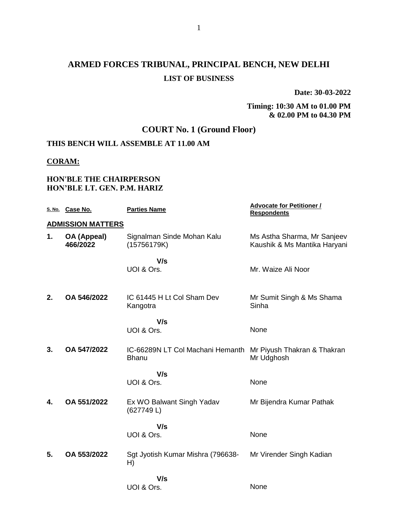# **ARMED FORCES TRIBUNAL, PRINCIPAL BENCH, NEW DELHI LIST OF BUSINESS**

**Date: 30-03-2022**

### **Timing: 10:30 AM to 01.00 PM & 02.00 PM to 04.30 PM**

## **COURT No. 1 (Ground Floor)**

## **THIS BENCH WILL ASSEMBLE AT 11.00 AM**

### **CORAM:**

## **HON'BLE THE CHAIRPERSON HON'BLE LT. GEN. P.M. HARIZ**

|    | S. No. Case No.          | <b>Parties Name</b>                              | <b>Advocate for Petitioner /</b><br><b>Respondents</b>      |
|----|--------------------------|--------------------------------------------------|-------------------------------------------------------------|
|    | <b>ADMISSION MATTERS</b> |                                                  |                                                             |
| 1. | OA (Appeal)<br>466/2022  | Signalman Sinde Mohan Kalu<br>(15756179K)        | Ms Astha Sharma, Mr Sanjeev<br>Kaushik & Ms Mantika Haryani |
|    |                          | V/s                                              |                                                             |
|    |                          | UOI & Ors.                                       | Mr. Waize Ali Noor                                          |
|    |                          |                                                  |                                                             |
| 2. | OA 546/2022              | IC 61445 H Lt Col Sham Dev<br>Kangotra           | Mr Sumit Singh & Ms Shama<br>Sinha                          |
|    |                          | V/s                                              |                                                             |
|    |                          | UOI & Ors.                                       | None                                                        |
| 3. | OA 547/2022              | IC-66289N LT Col Machani Hemanth<br><b>Bhanu</b> | Mr Piyush Thakran & Thakran<br>Mr Udghosh                   |
|    |                          | V/s                                              |                                                             |
|    |                          | UOI & Ors.                                       | None                                                        |
| 4. | OA 551/2022              | Ex WO Balwant Singh Yadav<br>(627749L)           | Mr Bijendra Kumar Pathak                                    |
|    |                          | V/s                                              |                                                             |
|    |                          | UOI & Ors.                                       | None                                                        |
| 5. | OA 553/2022              | Sgt Jyotish Kumar Mishra (796638-<br>H)          | Mr Virender Singh Kadian                                    |
|    |                          | V/s                                              |                                                             |
|    |                          | UOI & Ors.                                       | None                                                        |
|    |                          |                                                  |                                                             |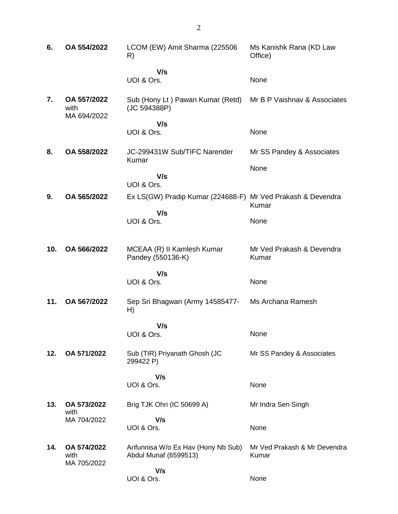| 6.  | OA 554/2022                        | LCOM (EW) Amit Sharma (225506<br>R)                          | Ms Kanishk Rana (KD Law<br>Office)    |
|-----|------------------------------------|--------------------------------------------------------------|---------------------------------------|
|     |                                    | V/s                                                          |                                       |
|     |                                    | UOI & Ors.                                                   | None                                  |
| 7.  | OA 557/2022<br>with<br>MA 694/2022 | Sub (Hony Lt) Pawan Kumar (Retd)<br>(JC 594388P)             | Mr B P Vaishnav & Associates          |
|     |                                    | V/s                                                          |                                       |
|     |                                    | UOI & Ors.                                                   | None                                  |
| 8.  | OA 558/2022                        | JC-299431W Sub/TIFC Narender<br>Kumar                        | Mr SS Pandey & Associates             |
|     |                                    |                                                              | None                                  |
|     |                                    | V/s<br>UOI & Ors.                                            |                                       |
| 9.  | OA 565/2022                        | Ex LS(GW) Pradip Kumar (224688-F) Mr Ved Prakash & Devendra  | Kumar                                 |
|     |                                    | V/s                                                          |                                       |
|     |                                    | UOI & Ors.                                                   | None                                  |
| 10. | OA 566/2022                        | MCEAA (R) II Kamlesh Kumar<br>Pandey (550136-K)              | Mr Ved Prakash & Devendra<br>Kumar    |
|     |                                    | V/s                                                          |                                       |
|     |                                    | UOI & Ors.                                                   | None                                  |
| 11. | OA 567/2022                        | Sep Sri Bhagwan (Army 14585477-<br>H)                        | Ms Archana Ramesh                     |
|     |                                    | V/s                                                          |                                       |
|     |                                    | UOI & Ors.                                                   | None                                  |
| 12. | OA 571/2022                        | Sub (TIR) Priyanath Ghosh (JC<br>299422 P)                   | Mr SS Pandey & Associates             |
|     |                                    | V/s                                                          |                                       |
|     |                                    | UOI & Ors.                                                   | None                                  |
| 13. | OA 573/2022<br>with                | Brig TJK Ohri (IC 50699 A)                                   | Mr Indra Sen Singh                    |
|     | MA 704/2022                        | V/s                                                          |                                       |
|     |                                    | UOI & Ors.                                                   | None                                  |
| 14. | OA 574/2022<br>with<br>MA 705/2022 | Arifunnisa W/o Ex Hav (Hony Nb Sub)<br>Abdul Munaf (6599513) | Mr Ved Prakash & Mr Devendra<br>Kumar |
|     |                                    | V/s                                                          |                                       |
|     |                                    | UOI & Ors.                                                   | None                                  |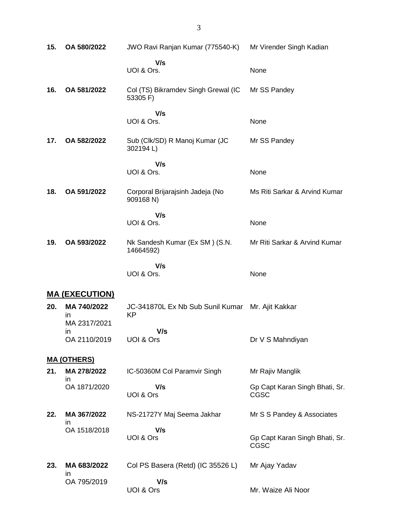| 15. | OA 580/2022                        | JWO Ravi Ranjan Kumar (775540-K)                | Mr Virender Singh Kadian                      |
|-----|------------------------------------|-------------------------------------------------|-----------------------------------------------|
|     |                                    | V/s<br>UOI & Ors.                               | None                                          |
| 16. | OA 581/2022                        | Col (TS) Bikramdev Singh Grewal (IC<br>53305 F) | Mr SS Pandey                                  |
|     |                                    | V/s<br>UOI & Ors.                               | None                                          |
| 17. | OA 582/2022                        | Sub (Clk/SD) R Manoj Kumar (JC<br>302194L)      | Mr SS Pandey                                  |
|     |                                    | V/s<br>UOI & Ors.                               | None                                          |
| 18. | OA 591/2022                        | Corporal Brijarajsinh Jadeja (No<br>909168 N)   | Ms Riti Sarkar & Arvind Kumar                 |
|     |                                    | V/s<br>UOI & Ors.                               | None                                          |
| 19. | OA 593/2022                        | Nk Sandesh Kumar (Ex SM) (S.N.<br>14664592)     | Mr Riti Sarkar & Arvind Kumar                 |
|     |                                    | V/s<br>UOI & Ors.                               | None                                          |
|     | <b>MA (EXECUTION)</b>              |                                                 |                                               |
| 20. | MA 740/2022                        | JC-341870L Ex Nb Sub Sunil Kumar                | Mr. Ajit Kakkar                               |
|     | in                                 | <b>KP</b>                                       |                                               |
|     | MA 2317/2021<br>in<br>OA 2110/2019 | V/s<br>UOI & Ors                                | Dr V S Mahndiyan                              |
|     |                                    |                                                 |                                               |
| 21. | <u>MA (OTHERS)</u><br>MA 278/2022  | IC-50360M Col Paramvir Singh                    | Mr Rajiv Manglik                              |
|     | ın<br>OA 1871/2020                 | V/s<br>UOI & Ors                                | Gp Capt Karan Singh Bhati, Sr.<br><b>CGSC</b> |
| 22. | MA 367/2022                        | NS-21727Y Maj Seema Jakhar                      | Mr S S Pandey & Associates                    |
|     | ın<br>OA 1518/2018                 | V/s<br>UOI & Ors                                | Gp Capt Karan Singh Bhati, Sr.<br><b>CGSC</b> |
| 23. | MA 683/2022<br>$\mathsf{I}$        | Col PS Basera (Retd) (IC 35526 L)               | Mr Ajay Yadav                                 |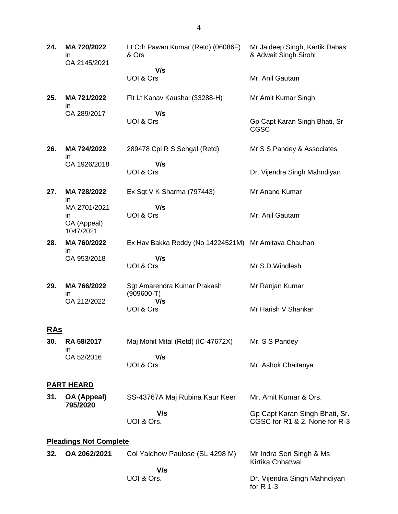| 24.        | MA 720/2022<br>ın<br>OA 2145/2021              | Lt Cdr Pawan Kumar (Retd) (06086F)<br>& Ors          | Mr Jaideep Singh, Kartik Dabas<br>& Adwait Singh Sirohi         |  |
|------------|------------------------------------------------|------------------------------------------------------|-----------------------------------------------------------------|--|
|            |                                                | V/s<br>UOI & Ors                                     | Mr. Anil Gautam                                                 |  |
| 25.        | MA 721/2022                                    | Flt Lt Kanav Kaushal (33288-H)                       | Mr Amit Kumar Singh                                             |  |
|            | in.<br>OA 289/2017                             | V/s<br>UOI & Ors                                     | Gp Capt Karan Singh Bhati, Sr<br><b>CGSC</b>                    |  |
| 26.        | MA 724/2022<br>in.                             | 289478 Cpl R S Sehgal (Retd)                         | Mr S S Pandey & Associates                                      |  |
|            | OA 1926/2018                                   | V/s<br>UOI & Ors                                     | Dr. Vijendra Singh Mahndiyan                                    |  |
| 27.        | MA 728/2022<br>in                              | Ex Sgt V K Sharma (797443)                           | Mr Anand Kumar                                                  |  |
|            | MA 2701/2021<br>in<br>OA (Appeal)<br>1047/2021 | V/s<br>UOI & Ors                                     | Mr. Anil Gautam                                                 |  |
| 28.        | MA 760/2022                                    | Ex Hav Bakka Reddy (No 14224521M) Mr Amitava Chauhan |                                                                 |  |
|            | in.<br>OA 953/2018                             | V/s<br>UOI & Ors                                     | Mr.S.D.Windlesh                                                 |  |
| 29.        | MA 766/2022<br>ın                              | Sgt Amarendra Kumar Prakash<br>$(909600-T)$          | Mr Ranjan Kumar                                                 |  |
|            | OA 212/2022                                    | V/s<br>UOI & Ors                                     | Mr Harish V Shankar                                             |  |
| <u>RAs</u> |                                                |                                                      |                                                                 |  |
| 30.        | RA 58/2017                                     | Maj Mohit Mital (Retd) (IC-47672X)                   | Mr. S S Pandey                                                  |  |
|            | in<br>OA 52/2016                               | V/s<br>UOI & Ors                                     | Mr. Ashok Chaitanya                                             |  |
|            | <b>PART HEARD</b>                              |                                                      |                                                                 |  |
| 31.        | OA (Appeal)<br>795/2020                        | SS-43767A Maj Rubina Kaur Keer                       | Mr. Amit Kumar & Ors.                                           |  |
|            |                                                | V/s<br>UOI & Ors.                                    | Gp Capt Karan Singh Bhati, Sr.<br>CGSC for R1 & 2. None for R-3 |  |
|            | <b>Pleadings Not Complete</b>                  |                                                      |                                                                 |  |
| 32.        | OA 2062/2021                                   | Col Yaldhow Paulose (SL 4298 M)                      | Mr Indra Sen Singh & Ms<br>Kirtika Chhatwal                     |  |
|            |                                                | V/s<br>UOI & Ors.                                    | Dr. Vijendra Singh Mahndiyan<br>for $R$ 1-3                     |  |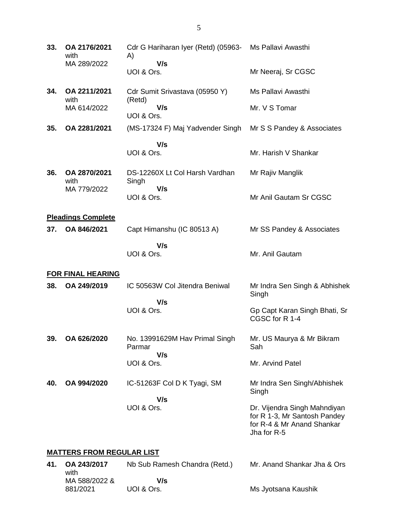| 33.                              | OA 2176/2021<br>with                | Cdr G Hariharan Iyer (Retd) (05963-<br>A)       | Ms Pallavi Awasthi                                                                                        |  |  |
|----------------------------------|-------------------------------------|-------------------------------------------------|-----------------------------------------------------------------------------------------------------------|--|--|
|                                  | MA 289/2022                         | V/s<br>UOI & Ors.                               | Mr Neeraj, Sr CGSC                                                                                        |  |  |
| 34.                              | OA 2211/2021                        | Cdr Sumit Srivastava (05950 Y)                  | Ms Pallavi Awasthi                                                                                        |  |  |
|                                  | with<br>MA 614/2022                 | (Retd)<br>V/s<br>UOI & Ors.                     | Mr. V S Tomar                                                                                             |  |  |
| 35.                              | OA 2281/2021                        | (MS-17324 F) Maj Yadvender Singh                | Mr S S Pandey & Associates                                                                                |  |  |
|                                  |                                     | V/s                                             |                                                                                                           |  |  |
|                                  |                                     | UOI & Ors.                                      | Mr. Harish V Shankar                                                                                      |  |  |
| 36.                              | OA 2870/2021<br>with<br>MA 779/2022 | DS-12260X Lt Col Harsh Vardhan<br>Singh<br>V/s  | Mr Rajiv Manglik                                                                                          |  |  |
|                                  |                                     | UOI & Ors.                                      | Mr Anil Gautam Sr CGSC                                                                                    |  |  |
|                                  | <b>Pleadings Complete</b>           |                                                 |                                                                                                           |  |  |
| 37.                              | OA 846/2021                         | Capt Himanshu (IC 80513 A)                      | Mr SS Pandey & Associates                                                                                 |  |  |
|                                  |                                     | V/s<br>UOI & Ors.                               | Mr. Anil Gautam                                                                                           |  |  |
|                                  | <b>FOR FINAL HEARING</b>            |                                                 |                                                                                                           |  |  |
| 38.                              | OA 249/2019                         | IC 50563W Col Jitendra Beniwal<br>V/s           | Mr Indra Sen Singh & Abhishek<br>Singh                                                                    |  |  |
|                                  |                                     | UOI & Ors.                                      | Gp Capt Karan Singh Bhati, Sr<br>CGSC for R 1-4                                                           |  |  |
| 39.                              | OA 626/2020                         | No. 13991629M Hav Primal Singh<br>Parmar<br>V/s | Mr. US Maurya & Mr Bikram<br>Sah                                                                          |  |  |
|                                  |                                     | UOI & Ors.                                      | Mr. Arvind Patel                                                                                          |  |  |
| 40.                              | OA 994/2020                         | IC-51263F Col D K Tyagi, SM                     | Mr Indra Sen Singh/Abhishek<br>Singh                                                                      |  |  |
|                                  |                                     | V/s<br>UOI & Ors.                               | Dr. Vijendra Singh Mahndiyan<br>for R 1-3, Mr Santosh Pandey<br>for R-4 & Mr Anand Shankar<br>Jha for R-5 |  |  |
| <u>MATTERS FROM REGULAR LIST</u> |                                     |                                                 |                                                                                                           |  |  |
| 41.                              | OA 243/2017                         | Nb Sub Ramesh Chandra (Retd.)                   | Mr. Anand Shankar Jha & Ors                                                                               |  |  |
|                                  | with<br>MA 588/2022 &               | V/s                                             |                                                                                                           |  |  |

Ms Jyotsana Kaushik

881/2021

UOI & Ors.